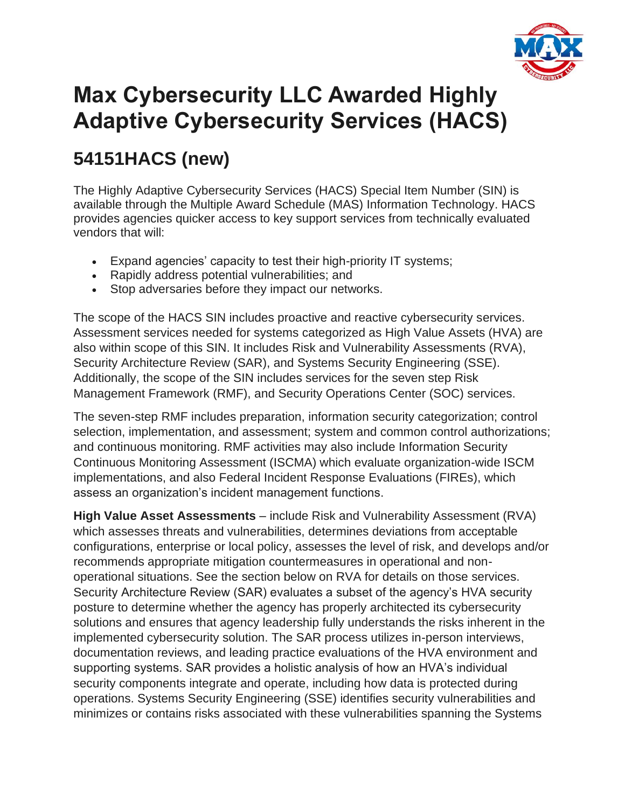

## **Max Cybersecurity LLC Awarded Highly Adaptive Cybersecurity Services (HACS)**

## **54151HACS (new)**

The Highly Adaptive Cybersecurity Services (HACS) Special Item Number (SIN) is available through the Multiple Award Schedule (MAS) Information Technology. HACS provides agencies quicker access to key support services from technically evaluated vendors that will:

- Expand agencies' capacity to test their high-priority IT systems;
- Rapidly address potential vulnerabilities; and
- Stop adversaries before they impact our networks.

The scope of the HACS SIN includes proactive and reactive cybersecurity services. Assessment services needed for systems categorized as High Value Assets (HVA) are also within scope of this SIN. It includes Risk and Vulnerability Assessments (RVA), Security Architecture Review (SAR), and Systems Security Engineering (SSE). Additionally, the scope of the SIN includes services for the seven step Risk Management Framework (RMF), and Security Operations Center (SOC) services.

The seven-step RMF includes preparation, information security categorization; control selection, implementation, and assessment; system and common control authorizations; and continuous monitoring. RMF activities may also include Information Security Continuous Monitoring Assessment (ISCMA) which evaluate organization-wide ISCM implementations, and also Federal Incident Response Evaluations (FIREs), which assess an organization's incident management functions.

**High Value Asset Assessments** – include Risk and Vulnerability Assessment (RVA) which assesses threats and vulnerabilities, determines deviations from acceptable configurations, enterprise or local policy, assesses the level of risk, and develops and/or recommends appropriate mitigation countermeasures in operational and nonoperational situations. See the section below on RVA for details on those services. Security Architecture Review (SAR) evaluates a subset of the agency's HVA security posture to determine whether the agency has properly architected its cybersecurity solutions and ensures that agency leadership fully understands the risks inherent in the implemented cybersecurity solution. The SAR process utilizes in-person interviews, documentation reviews, and leading practice evaluations of the HVA environment and supporting systems. SAR provides a holistic analysis of how an HVA's individual security components integrate and operate, including how data is protected during operations. Systems Security Engineering (SSE) identifies security vulnerabilities and minimizes or contains risks associated with these vulnerabilities spanning the Systems